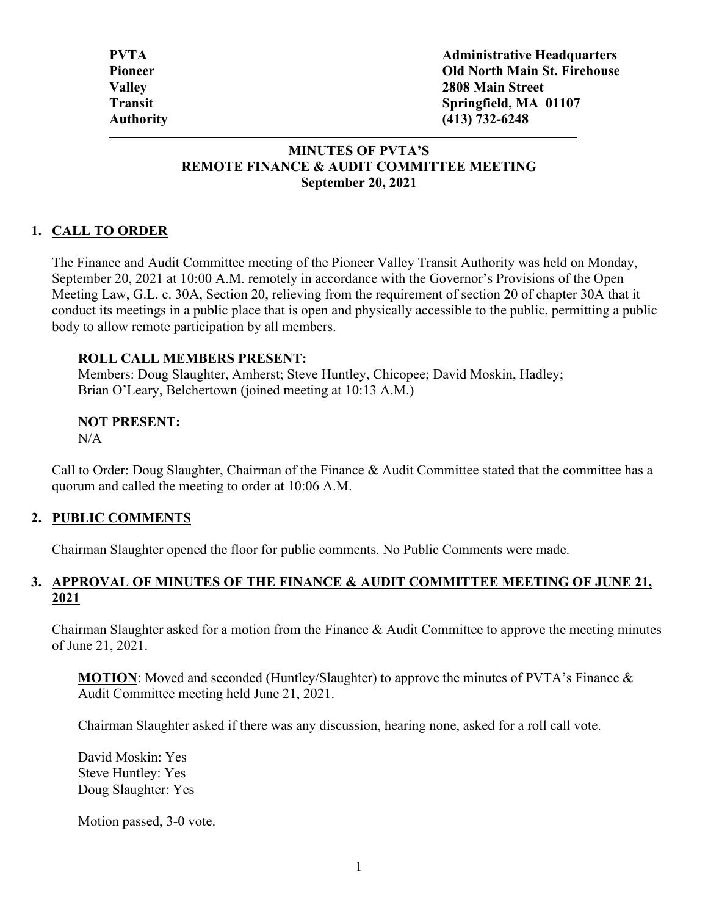#### **MINUTES OF PVTA'S REMOTE FINANCE & AUDIT COMMITTEE MEETING September 20, 2021**

## **1. CALL TO ORDER**

The Finance and Audit Committee meeting of the Pioneer Valley Transit Authority was held on Monday, September 20, 2021 at 10:00 A.M. remotely in accordance with the Governor's Provisions of the Open Meeting Law, G.L. c. 30A, Section 20, relieving from the requirement of section 20 of chapter 30A that it conduct its meetings in a public place that is open and physically accessible to the public, permitting a public body to allow remote participation by all members.

#### **ROLL CALL MEMBERS PRESENT:**

Members: Doug Slaughter, Amherst; Steve Huntley, Chicopee; David Moskin, Hadley; Brian O'Leary, Belchertown (joined meeting at 10:13 A.M.)

# **NOT PRESENT:**

 $N/A$ 

Call to Order: Doug Slaughter, Chairman of the Finance & Audit Committee stated that the committee has a quorum and called the meeting to order at 10:06 A.M.

#### **2. PUBLIC COMMENTS**

Chairman Slaughter opened the floor for public comments. No Public Comments were made.

#### **3. APPROVAL OF MINUTES OF THE FINANCE & AUDIT COMMITTEE MEETING OF JUNE 21, 2021**

Chairman Slaughter asked for a motion from the Finance & Audit Committee to approve the meeting minutes of June 21, 2021.

**MOTION**: Moved and seconded (Huntley/Slaughter) to approve the minutes of PVTA's Finance & Audit Committee meeting held June 21, 2021.

Chairman Slaughter asked if there was any discussion, hearing none, asked for a roll call vote.

David Moskin: Yes Steve Huntley: Yes Doug Slaughter: Yes

Motion passed, 3-0 vote.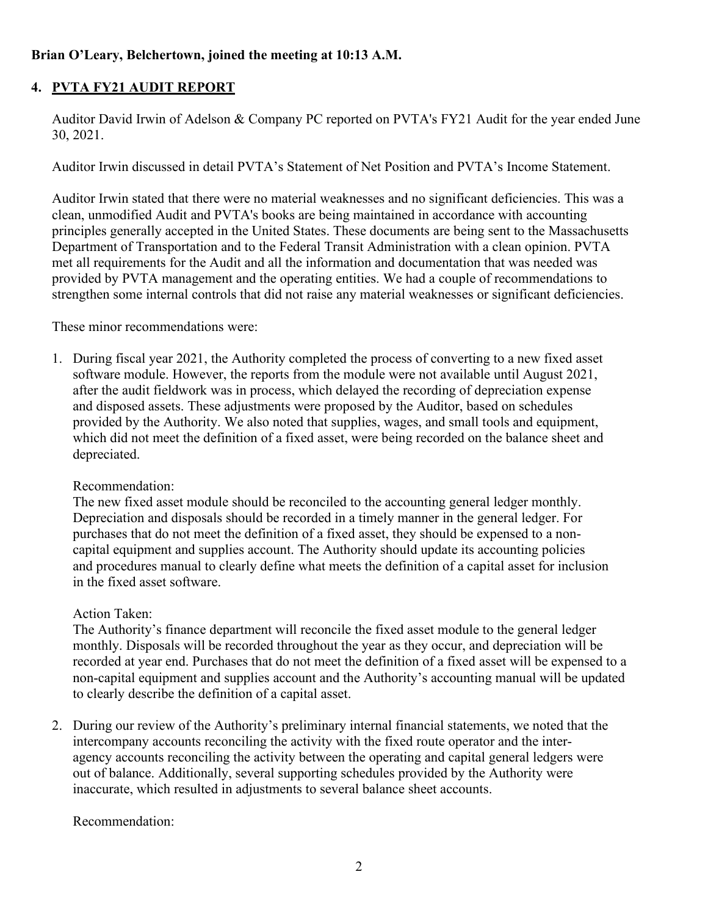### **Brian O'Leary, Belchertown, joined the meeting at 10:13 A.M.**

# **4. PVTA FY21 AUDIT REPORT**

Auditor David Irwin of Adelson & Company PC reported on PVTA's FY21 Audit for the year ended June 30, 2021.

Auditor Irwin discussed in detail PVTA's Statement of Net Position and PVTA's Income Statement.

Auditor Irwin stated that there were no material weaknesses and no significant deficiencies. This was a clean, unmodified Audit and PVTA's books are being maintained in accordance with accounting principles generally accepted in the United States. These documents are being sent to the Massachusetts Department of Transportation and to the Federal Transit Administration with a clean opinion. PVTA met all requirements for the Audit and all the information and documentation that was needed was provided by PVTA management and the operating entities. We had a couple of recommendations to strengthen some internal controls that did not raise any material weaknesses or significant deficiencies.

These minor recommendations were:

1. During fiscal year 2021, the Authority completed the process of converting to a new fixed asset software module. However, the reports from the module were not available until August 2021, after the audit fieldwork was in process, which delayed the recording of depreciation expense and disposed assets. These adjustments were proposed by the Auditor, based on schedules provided by the Authority. We also noted that supplies, wages, and small tools and equipment, which did not meet the definition of a fixed asset, were being recorded on the balance sheet and depreciated.

#### Recommendation:

The new fixed asset module should be reconciled to the accounting general ledger monthly. Depreciation and disposals should be recorded in a timely manner in the general ledger. For purchases that do not meet the definition of a fixed asset, they should be expensed to a noncapital equipment and supplies account. The Authority should update its accounting policies and procedures manual to clearly define what meets the definition of a capital asset for inclusion in the fixed asset software.

#### Action Taken:

The Authority's finance department will reconcile the fixed asset module to the general ledger monthly. Disposals will be recorded throughout the year as they occur, and depreciation will be recorded at year end. Purchases that do not meet the definition of a fixed asset will be expensed to a non-capital equipment and supplies account and the Authority's accounting manual will be updated to clearly describe the definition of a capital asset.

2. During our review of the Authority's preliminary internal financial statements, we noted that the intercompany accounts reconciling the activity with the fixed route operator and the interagency accounts reconciling the activity between the operating and capital general ledgers were out of balance. Additionally, several supporting schedules provided by the Authority were inaccurate, which resulted in adjustments to several balance sheet accounts.

Recommendation: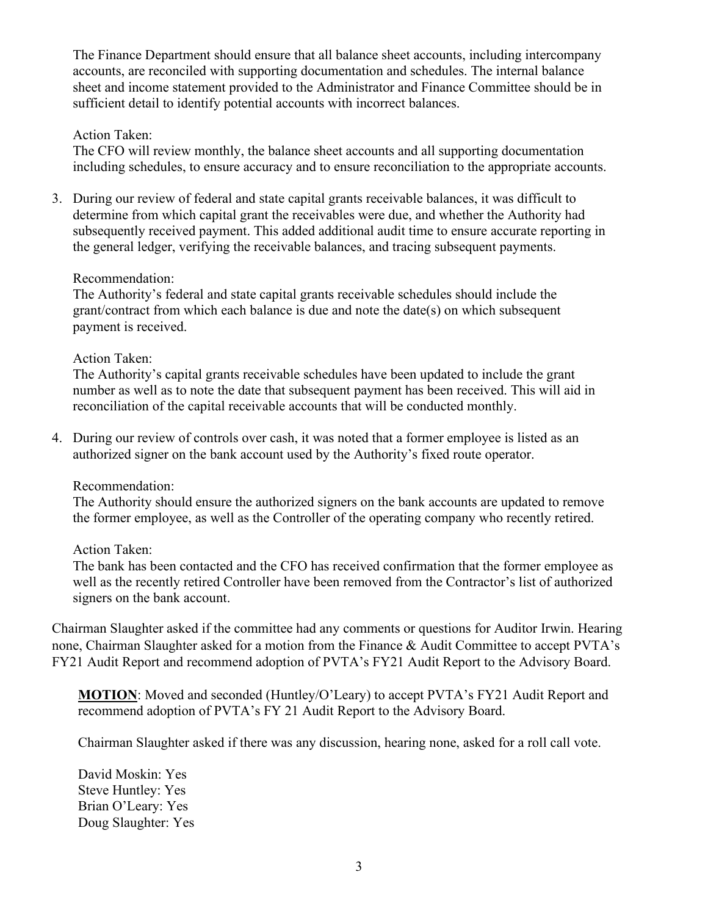The Finance Department should ensure that all balance sheet accounts, including intercompany accounts, are reconciled with supporting documentation and schedules. The internal balance sheet and income statement provided to the Administrator and Finance Committee should be in sufficient detail to identify potential accounts with incorrect balances.

#### Action Taken:

The CFO will review monthly, the balance sheet accounts and all supporting documentation including schedules, to ensure accuracy and to ensure reconciliation to the appropriate accounts.

3. During our review of federal and state capital grants receivable balances, it was difficult to determine from which capital grant the receivables were due, and whether the Authority had subsequently received payment. This added additional audit time to ensure accurate reporting in the general ledger, verifying the receivable balances, and tracing subsequent payments.

#### Recommendation:

The Authority's federal and state capital grants receivable schedules should include the grant/contract from which each balance is due and note the date(s) on which subsequent payment is received.

#### Action Taken:

The Authority's capital grants receivable schedules have been updated to include the grant number as well as to note the date that subsequent payment has been received. This will aid in reconciliation of the capital receivable accounts that will be conducted monthly.

4. During our review of controls over cash, it was noted that a former employee is listed as an authorized signer on the bank account used by the Authority's fixed route operator.

#### Recommendation:

The Authority should ensure the authorized signers on the bank accounts are updated to remove the former employee, as well as the Controller of the operating company who recently retired.

#### Action Taken:

The bank has been contacted and the CFO has received confirmation that the former employee as well as the recently retired Controller have been removed from the Contractor's list of authorized signers on the bank account.

Chairman Slaughter asked if the committee had any comments or questions for Auditor Irwin. Hearing none, Chairman Slaughter asked for a motion from the Finance & Audit Committee to accept PVTA's FY21 Audit Report and recommend adoption of PVTA's FY21 Audit Report to the Advisory Board.

**MOTION**: Moved and seconded (Huntley/O'Leary) to accept PVTA's FY21 Audit Report and recommend adoption of PVTA's FY 21 Audit Report to the Advisory Board.

Chairman Slaughter asked if there was any discussion, hearing none, asked for a roll call vote.

David Moskin: Yes Steve Huntley: Yes Brian O'Leary: Yes Doug Slaughter: Yes